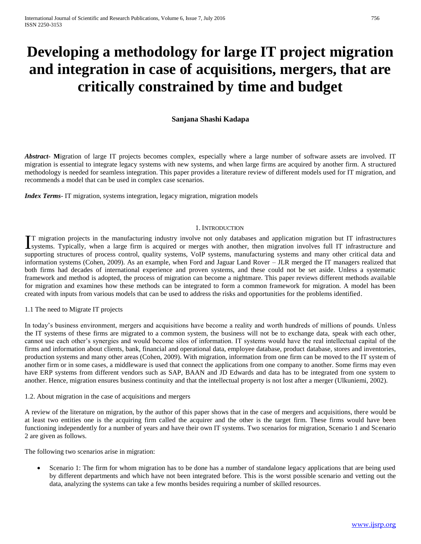# **Developing a methodology for large IT project migration and integration in case of acquisitions, mergers, that are critically constrained by time and budget**

## **Sanjana Shashi Kadapa**

*Abstract***- M**igration of large IT projects becomes complex, especially where a large number of software assets are involved. IT migration is essential to integrate legacy systems with new systems, and when large firms are acquired by another firm. A structured methodology is needed for seamless integration. This paper provides a literature review of different models used for IT migration, and recommends a model that can be used in complex case scenarios.

*Index Terms*- IT migration, systems integration, legacy migration, migration models

## 1. INTRODUCTION

T migration projects in the manufacturing industry involve not only databases and application migration but IT infrastructures IT migration projects in the manufacturing industry involve not only databases and application migration but IT infrastructures Systems. Typically, when a large firm is acquired or merges with another, then migration invol supporting structures of process control, quality systems, VoIP systems, manufacturing systems and many other critical data and information systems (Cohen, 2009). As an example, when Ford and Jaguar Land Rover – JLR merged the IT managers realized that both firms had decades of international experience and proven systems, and these could not be set aside. Unless a systematic framework and method is adopted, the process of migration can become a nightmare. This paper reviews different methods available for migration and examines how these methods can be integrated to form a common framework for migration. A model has been created with inputs from various models that can be used to address the risks and opportunities for the problems identified.

#### 1.1 The need to Migrate IT projects

In today's business environment, mergers and acquisitions have become a reality and worth hundreds of millions of pounds. Unless the IT systems of these firms are migrated to a common system, the business will not be to exchange data, speak with each other, cannot use each other's synergies and would become silos of information. IT systems would have the real intellectual capital of the firms and information about clients, bank, financial and operational data, employee database, product database, stores and inventories, production systems and many other areas (Cohen, 2009). With migration, information from one firm can be moved to the IT system of another firm or in some cases, a middleware is used that connect the applications from one company to another. Some firms may even have ERP systems from different vendors such as SAP, BAAN and JD Edwards and data has to be integrated from one system to another. Hence, migration ensures business continuity and that the intellectual property is not lost after a merger (Ulkuniemi, 2002).

#### 1.2. About migration in the case of acquisitions and mergers

A review of the literature on migration, by the author of this paper shows that in the case of mergers and acquisitions, there would be at least two entities one is the acquiring firm called the acquirer and the other is the target firm. These firms would have been functioning independently for a number of years and have their own IT systems. Two scenarios for migration, Scenario 1 and Scenario 2 are given as follows.

The following two scenarios arise in migration:

 Scenario 1: The firm for whom migration has to be done has a number of standalone legacy applications that are being used by different departments and which have not been integrated before. This is the worst possible scenario and vetting out the data, analyzing the systems can take a few months besides requiring a number of skilled resources.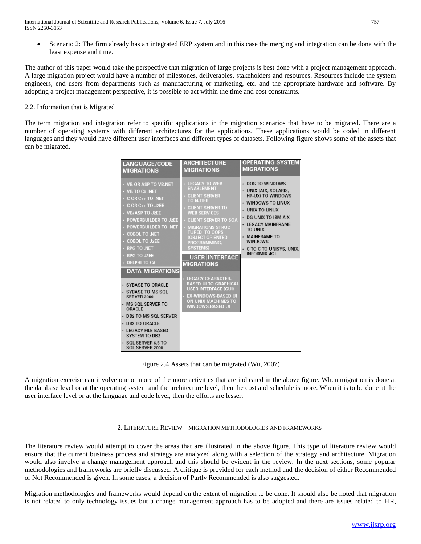Scenario 2: The firm already has an integrated ERP system and in this case the merging and integration can be done with the least expense and time.

The author of this paper would take the perspective that migration of large projects is best done with a project management approach. A large migration project would have a number of milestones, deliverables, stakeholders and resources. Resources include the system engineers, end users from departments such as manufacturing or marketing, etc. and the appropriate hardware and software. By adopting a project management perspective, it is possible to act within the time and cost constraints.

## 2.2. Information that is Migrated

The term migration and integration refer to specific applications in the migration scenarios that have to be migrated. There are a number of operating systems with different architectures for the applications. These applications would be coded in different languages and they would have different user interfaces and different types of datasets. Following figure shows some of the assets that can be migrated.

| <b>LANGUAGE/CODE</b>                                                                                                                                                                                                                                                                                                                                                                                                                                                                                                                                                      | <b>ARCHITECTURE</b>                                                                                                                                                                                                                                                                                                                                                                                                                                                                                 | <b>OPERATING SYSTEM</b>                                                                                                                                                                                                                                                     |
|---------------------------------------------------------------------------------------------------------------------------------------------------------------------------------------------------------------------------------------------------------------------------------------------------------------------------------------------------------------------------------------------------------------------------------------------------------------------------------------------------------------------------------------------------------------------------|-----------------------------------------------------------------------------------------------------------------------------------------------------------------------------------------------------------------------------------------------------------------------------------------------------------------------------------------------------------------------------------------------------------------------------------------------------------------------------------------------------|-----------------------------------------------------------------------------------------------------------------------------------------------------------------------------------------------------------------------------------------------------------------------------|
| <b>MIGRATIONS</b>                                                                                                                                                                                                                                                                                                                                                                                                                                                                                                                                                         | <b>MIGRATIONS</b>                                                                                                                                                                                                                                                                                                                                                                                                                                                                                   | <b>MIGRATIONS</b>                                                                                                                                                                                                                                                           |
| • VB OR ASP TO VB NET<br>$\cdot$ VB TO C# .NET<br>$\cdot$ C OR C++ TO .NET<br>$\cdot$ C OR C++ TO J2EE<br>· VB/ASP TO J2EE<br>· POWERBUILDER TO J2EE<br><b>POWERBUILDER TO .NET</b><br><b>COBOL TO .NET</b><br>← COBOL TO J2EE<br><b>RPG TO .NET</b><br><b>RPG TO J2EE</b><br><b>DELPHI TO C#</b><br><b>DATA MIGRATIONS</b><br>- SYBASE TO ORACLE<br>- SYBASE TO MS SOL<br><b>SERVER 2000</b><br>· MS SOL SERVER TO<br>ORACLE<br>• DB2 TO MS SOL SERVER<br>· DB2 TO ORACLE<br>· LEGACY FILE-BASED<br><b>SYSTEM TO DB2</b><br>$\cdot$ SQL SERVER 6.5 TO<br>SQL SERVER 2000 | <b>LEGACY TO WEB</b><br><b>ENABLEMENT</b><br><b>CLIENT SERVER</b><br>TO N-TIER<br><b>CLIENT SERVER TO</b><br><b>WEB SERVICES</b><br><b>CLIENT SERVER TO SOA</b><br><b>MIGRATIONS STRUC-</b><br><b>TURED TO OOPS</b><br>(OBJECT-ORIENTED<br>PROGRAMMING.<br><b>SYSTEMS)</b><br><b>USER INTERFACE</b><br><b>MIGRATIONS</b><br><b>LEGACY CHARACTER-</b><br><b>BASED UI TO GRAPHICAL</b><br><b>USER INTERFACE (GUI)</b><br><b>EX-WINDOWS-BASED UI</b><br>ON UNIX MACHINES TO<br><b>WINDOWS-BASED UI</b> | <b>DOS TO WINDOWS</b><br>UNIX (AIX, SOLARIS,<br><b>HP-UX) TO WINDOWS</b><br>WINDOWS TO LINUX<br>UNIX TO LINUX<br>DG UNIX TO IBM AIX<br><b>LEGACY MAINFRAME</b><br><b>TO UNIX</b><br><b>MAINFRAME TO</b><br><b>WINDOWS</b><br>C TO C TO UNISYS, UNIX.<br><b>INFORMIX 4GL</b> |

Figure 2.4 Assets that can be migrated (Wu, 2007)

A migration exercise can involve one or more of the more activities that are indicated in the above figure. When migration is done at the database level or at the operating system and the architecture level, then the cost and schedule is more. When it is to be done at the user interface level or at the language and code level, then the efforts are lesser.

#### 2. LITERATURE REVIEW – MIGRATION METHODOLOGIES AND FRAMEWORKS

The literature review would attempt to cover the areas that are illustrated in the above figure. This type of literature review would ensure that the current business process and strategy are analyzed along with a selection of the strategy and architecture. Migration would also involve a change management approach and this should be evident in the review. In the next sections, some popular methodologies and frameworks are briefly discussed. A critique is provided for each method and the decision of either Recommended or Not Recommended is given. In some cases, a decision of Partly Recommended is also suggested.

Migration methodologies and frameworks would depend on the extent of migration to be done. It should also be noted that migration is not related to only technology issues but a change management approach has to be adopted and there are issues related to HR,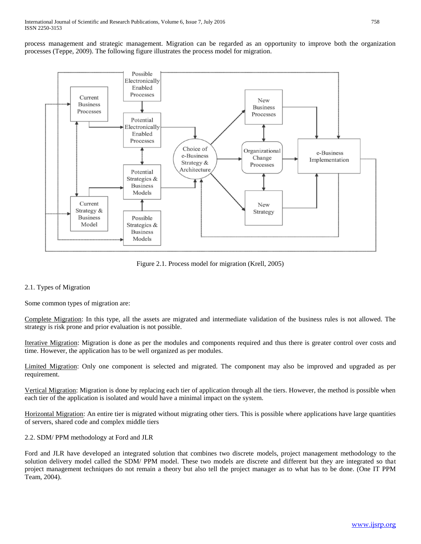process management and strategic management. Migration can be regarded as an opportunity to improve both the organization processes (Teppe, 2009). The following figure illustrates the process model for migration.



Figure 2.1. Process model for migration (Krell, 2005)

## 2.1. Types of Migration

Some common types of migration are:

Complete Migration: In this type, all the assets are migrated and intermediate validation of the business rules is not allowed. The strategy is risk prone and prior evaluation is not possible.

Iterative Migration: Migration is done as per the modules and components required and thus there is greater control over costs and time. However, the application has to be well organized as per modules.

Limited Migration: Only one component is selected and migrated. The component may also be improved and upgraded as per requirement.

Vertical Migration: Migration is done by replacing each tier of application through all the tiers. However, the method is possible when each tier of the application is isolated and would have a minimal impact on the system.

Horizontal Migration: An entire tier is migrated without migrating other tiers. This is possible where applications have large quantities of servers, shared code and complex middle tiers

2.2. SDM/ PPM methodology at Ford and JLR

Ford and JLR have developed an integrated solution that combines two discrete models, project management methodology to the solution delivery model called the SDM/ PPM model. These two models are discrete and different but they are integrated so that project management techniques do not remain a theory but also tell the project manager as to what has to be done. (One IT PPM Team, 2004).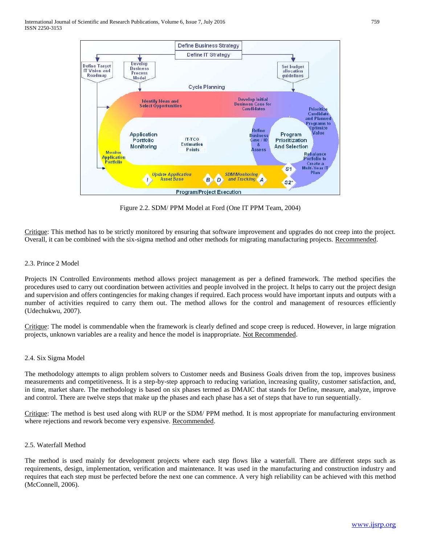

Figure 2.2. SDM/ PPM Model at Ford (One IT PPM Team, 2004)

Critique: This method has to be strictly monitored by ensuring that software improvement and upgrades do not creep into the project. Overall, it can be combined with the six-sigma method and other methods for migrating manufacturing projects. Recommended.

## 2.3. Prince 2 Model

Projects IN Controlled Environments method allows project management as per a defined framework. The method specifies the procedures used to carry out coordination between activities and people involved in the project. It helps to carry out the project design and supervision and offers contingencies for making changes if required. Each process would have important inputs and outputs with a number of activities required to carry them out. The method allows for the control and management of resources efficiently (Udechukwu, 2007).

Critique: The model is commendable when the framework is clearly defined and scope creep is reduced. However, in large migration projects, unknown variables are a reality and hence the model is inappropriate. Not Recommended.

#### 2.4. Six Sigma Model

The methodology attempts to align problem solvers to Customer needs and Business Goals driven from the top, improves business measurements and competitiveness. It is a step-by-step approach to reducing variation, increasing quality, customer satisfaction, and, in time, market share. The methodology is based on six phases termed as DMAIC that stands for Define, measure, analyze, improve and control. There are twelve steps that make up the phases and each phase has a set of steps that have to run sequentially.

Critique: The method is best used along with RUP or the SDM/ PPM method. It is most appropriate for manufacturing environment where rejections and rework become very expensive. Recommended.

#### 2.5. Waterfall Method

The method is used mainly for development projects where each step flows like a waterfall. There are different steps such as requirements, design, implementation, verification and maintenance. It was used in the manufacturing and construction industry and requires that each step must be perfected before the next one can commence. A very high reliability can be achieved with this method (McConnell, 2006).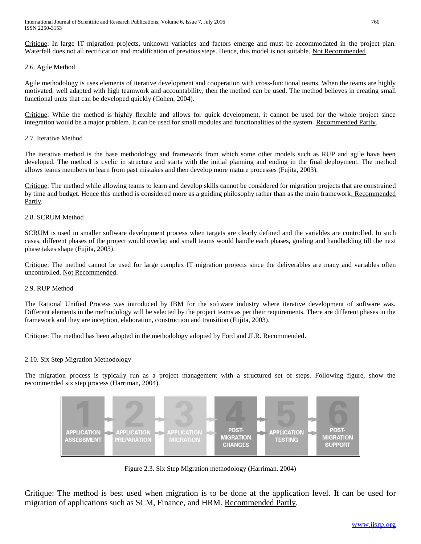International Journal of Scientific and Research Publications, Volume 6, Issue 7, July 2016 760 ISSN 2250-3153

Critique: In large IT migration projects, unknown variables and factors emerge and must be accommodated in the project plan. Waterfall does not all rectification and modification of previous steps. Hence, this model is not suitable. Not Recommended.

### 2.6. Agile Method

Agile methodology is uses elements of iterative development and cooperation with cross-functional teams. When the teams are highly motivated, well adapted with high teamwork and accountability, then the method can be used. The method believes in creating small functional units that can be developed quickly (Cohen, 2004).

Critique: While the method is highly flexible and allows for quick development, it cannot be used for the whole project since integration would be a major problem. It can be used for small modules and functionalities of the system. Recommended Partly.

## 2.7. Iterative Method

The iterative method is the base methodology and framework from which some other models such as RUP and agile have been developed. The method is cyclic in structure and starts with the initial planning and ending in the final deployment. The method allows teams members to learn from past mistakes and then develop more mature processes (Fujita, 2003).

Critique: The method while allowing teams to learn and develop skills cannot be considered for migration projects that are constrained by time and budget. Hence this method is considered more as a guiding philosophy rather than as the main framework. Recommended Partly.

## 2.8. SCRUM Method

SCRUM is used in smaller software development process when targets are clearly defined and the variables are controlled. In such cases, different phases of the project would overlap and small teams would handle each phases, guiding and handholding till the next phase takes shape (Fujita, 2003).

Critique: The method cannot be used for large complex IT migration projects since the deliverables are many and variables often uncontrolled. Not Recommended.

#### 2.9. RUP Method

The Rational Unified Process was introduced by IBM for the software industry where iterative development of software was. Different elements in the methodology will be selected by the project teams as per their requirements. There are different phases in the framework and they are inception, elaboration, construction and transition (Fujita, 2003).

Critique: The method has been adopted in the methodology adopted by Ford and JLR. Recommended.

#### 2.10. Six Step Migration Methodology

The migration process is typically run as a project management with a structured set of steps. Following figure, show the recommended six step process (Harriman, 2004).



Figure 2.3. Six Step Migration methodology (Harriman. 2004)

Critique: The method is best used when migration is to be done at the application level. It can be used for migration of applications such as SCM, Finance, and HRM. Recommended Partly.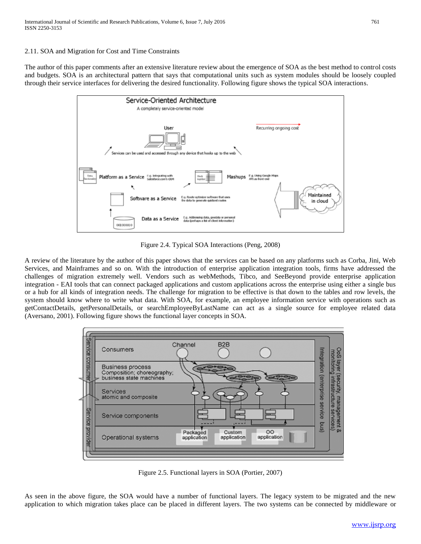## 2.11. SOA and Migration for Cost and Time Constraints

The author of this paper comments after an extensive literature review about the emergence of SOA as the best method to control costs and budgets. SOA is an architectural pattern that says that computational units such as system modules should be loosely coupled through their service interfaces for delivering the desired functionality. Following figure shows the typical SOA interactions.



Figure 2.4. Typical SOA Interactions (Peng, 2008)

A review of the literature by the author of this paper shows that the services can be based on any platforms such as Corba, Jini, Web Services, and Mainframes and so on. With the introduction of enterprise application integration tools, firms have addressed the challenges of migration extremely well. Vendors such as webMethods, Tibco, and SeeBeyond provide enterprise application integration - EAI tools that can connect packaged applications and custom applications across the enterprise using either a single bus or a hub for all kinds of integration needs. The challenge for migration to be effective is that down to the tables and row levels, the system should know where to write what data. With SOA, for example, an employee information service with operations such as getContactDetails, getPersonalDetails, or searchEmployeeByLastName can act as a single source for employee related data (Aversano, 2001). Following figure shows the functional layer concepts in SOA.



Figure 2.5. Functional layers in SOA (Portier, 2007)

As seen in the above figure, the SOA would have a number of functional layers. The legacy system to be migrated and the new application to which migration takes place can be placed in different layers. The two systems can be connected by middleware or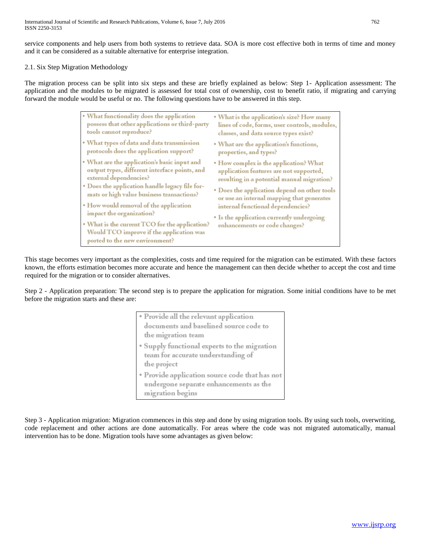service components and help users from both systems to retrieve data. SOA is more cost effective both in terms of time and money and it can be considered as a suitable alternative for enterprise integration.

## 2.1. Six Step Migration Methodology

The migration process can be split into six steps and these are briefly explained as below: Step 1- Application assessment: The application and the modules to be migrated is assessed for total cost of ownership, cost to benefit ratio, if migrating and carrying forward the module would be useful or no. The following questions have to be answered in this step.

| • What functionality does the application                                                                                                                                                                                                                                                                                                                                                                                    | . What is the application's size? How many                                                                                                                                                                                                                                                                                                      |
|------------------------------------------------------------------------------------------------------------------------------------------------------------------------------------------------------------------------------------------------------------------------------------------------------------------------------------------------------------------------------------------------------------------------------|-------------------------------------------------------------------------------------------------------------------------------------------------------------------------------------------------------------------------------------------------------------------------------------------------------------------------------------------------|
| possess that other applications or third-party                                                                                                                                                                                                                                                                                                                                                                               | lines of code, forms, user controls, modules,                                                                                                                                                                                                                                                                                                   |
| tools cannot reproduce?                                                                                                                                                                                                                                                                                                                                                                                                      | classes, and data source types exist?                                                                                                                                                                                                                                                                                                           |
| • What types of data and data transmission                                                                                                                                                                                                                                                                                                                                                                                   | . What are the application's functions,                                                                                                                                                                                                                                                                                                         |
| protocols does the application support?                                                                                                                                                                                                                                                                                                                                                                                      | properties, and types?                                                                                                                                                                                                                                                                                                                          |
| • What are the application's basic input and<br>output types, different interface points, and<br>external dependencies?<br>• Does the application handle legacy file for-<br>mats or high value business transactions?<br>• How would removal of the application<br>impact the organization?<br>• What is the current TCO for the application?<br>Would TCO improve if the application was<br>ported to the new environment? | • How complex is the application? What<br>application features are not supported,<br>resulting in a potential manual migration?<br>• Does the application depend on other tools<br>or use an internal mapping that generates<br>internal functional dependencies?<br>• Is the application currently undergoing<br>enhancements or code changes? |

This stage becomes very important as the complexities, costs and time required for the migration can be estimated. With these factors known, the efforts estimation becomes more accurate and hence the management can then decide whether to accept the cost and time required for the migration or to consider alternatives.

Step 2 - Application preparation: The second step is to prepare the application for migration. Some initial conditions have to be met before the migration starts and these are:

| • Provide all the relevant application                                                                       |  |
|--------------------------------------------------------------------------------------------------------------|--|
| documents and baselined source code to                                                                       |  |
| the migration team                                                                                           |  |
| • Supply functional experts to the migration<br>team for accurate understanding of<br>the project            |  |
| • Provide application source code that has not<br>undergone separate enhancements as the<br>migration begins |  |

Step 3 - Application migration: Migration commences in this step and done by using migration tools. By using such tools, overwriting, code replacement and other actions are done automatically. For areas where the code was not migrated automatically, manual intervention has to be done. Migration tools have some advantages as given below: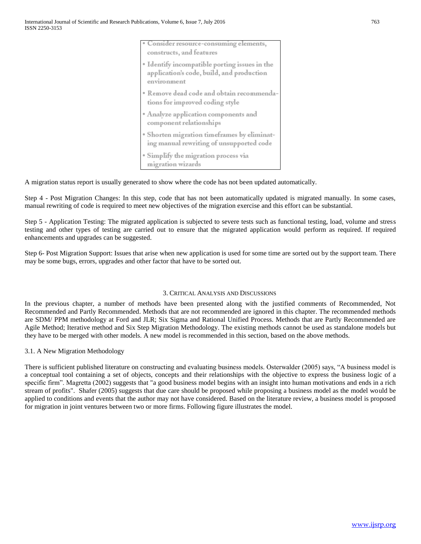| • Consider resource-consuming elements,<br>constructs, and features                                       |
|-----------------------------------------------------------------------------------------------------------|
| • Identify incompatible porting issues in the<br>application's code, build, and production<br>environment |
| · Remove dead code and obtain recommenda-<br>tions for improved coding style                              |
| • Analyze application components and<br>component relationships                                           |
| · Shorten migration timeframes by eliminat-<br>ing manual rewriting of unsupported code                   |
| · Simplify the migration process via<br>migration wizards                                                 |

A migration status report is usually generated to show where the code has not been updated automatically.

Step 4 - Post Migration Changes: In this step, code that has not been automatically updated is migrated manually. In some cases, manual rewriting of code is required to meet new objectives of the migration exercise and this effort can be substantial.

Step 5 - Application Testing: The migrated application is subjected to severe tests such as functional testing, load, volume and stress testing and other types of testing are carried out to ensure that the migrated application would perform as required. If required enhancements and upgrades can be suggested.

Step 6- Post Migration Support: Issues that arise when new application is used for some time are sorted out by the support team. There may be some bugs, errors, upgrades and other factor that have to be sorted out.

## 3. CRITICAL ANALYSIS AND DISCUSSIONS

In the previous chapter, a number of methods have been presented along with the justified comments of Recommended, Not Recommended and Partly Recommended. Methods that are not recommended are ignored in this chapter. The recommended methods are SDM/ PPM methodology at Ford and JLR; Six Sigma and Rational Unified Process. Methods that are Partly Recommended are Agile Method; Iterative method and Six Step Migration Methodology. The existing methods cannot be used as standalone models but they have to be merged with other models. A new model is recommended in this section, based on the above methods.

#### 3.1. A New Migration Methodology

There is sufficient published literature on constructing and evaluating business models. Osterwalder (2005) says, "A business model is a conceptual tool containing a set of objects, concepts and their relationships with the objective to express the business logic of a specific firm". Magretta (2002) suggests that "a good business model begins with an insight into human motivations and ends in a rich stream of profits". Shafer (2005) suggests that due care should be proposed while proposing a business model as the model would be applied to conditions and events that the author may not have considered. Based on the literature review, a business model is proposed for migration in joint ventures between two or more firms. Following figure illustrates the model.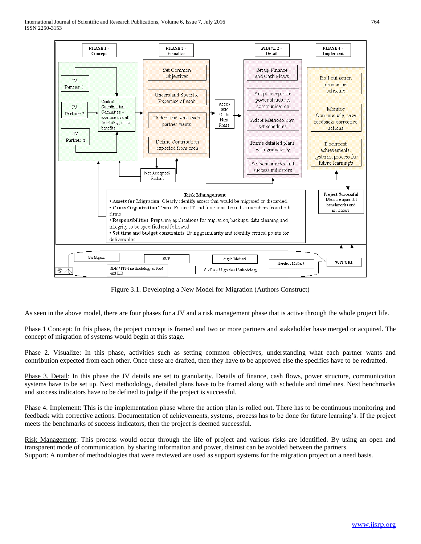

Figure 3.1. Developing a New Model for Migration (Authors Construct)

As seen in the above model, there are four phases for a JV and a risk management phase that is active through the whole project life.

Phase 1 Concept: In this phase, the project concept is framed and two or more partners and stakeholder have merged or acquired. The concept of migration of systems would begin at this stage.

Phase 2. Visualize: In this phase, activities such as setting common objectives, understanding what each partner wants and contribution expected from each other. Once these are drafted, then they have to be approved else the specifics have to be redrafted.

Phase 3. Detail: In this phase the JV details are set to granularity. Details of finance, cash flows, power structure, communication systems have to be set up. Next methodology, detailed plans have to be framed along with schedule and timelines. Next benchmarks and success indicators have to be defined to judge if the project is successful.

Phase 4. Implement: This is the implementation phase where the action plan is rolled out. There has to be continuous monitoring and feedback with corrective actions. Documentation of achievements, systems, process has to be done for future learning's. If the project meets the benchmarks of success indicators, then the project is deemed successful.

Risk Management: This process would occur through the life of project and various risks are identified. By using an open and transparent mode of communication, by sharing information and power, distrust can be avoided between the partners. Support: A number of methodologies that were reviewed are used as support systems for the migration project on a need basis.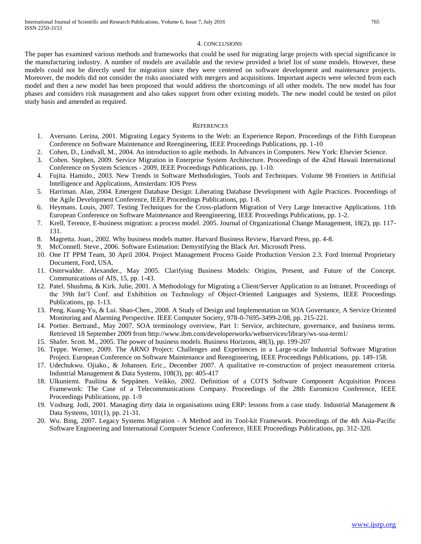#### 4. CONCLUSIONS

The paper has examined various methods and frameworks that could be used for migrating large projects with special significance in the manufacturing industry. A number of models are available and the review provided a brief list of some models. However, these models could not be directly used for migration since they were centered on software development and maintenance projects. Moreover, the models did not consider the risks associated with mergers and acquisitions. Important aspects were selected from each model and then a new model has been proposed that would address the shortcomings of all other models. The new model has four phases and considers risk management and also takes support from other existing models. The new model could be tested on pilot study basis and amended as required.

#### **REFERENCES**

- 1. Aversano. Lerina, 2001. Migrating Legacy Systems to the Web: an Experience Report. Proceedings of the Fifth European Conference on Software Maintenance and Reengineering, IEEE Proceedings Publications, pp. 1-10
- 2. Cohen, D., Lindvall, M., 2004. An introduction to agile methods. In Advances in Computers. New York: Elsevier Science.
- 3. Cohen. Stephen, 2009. Service Migration in Enterprise System Architecture. Proceedings of the 42nd Hawaii International Conference on System Sciences - 2009, IEEE Proceedings Publications, pp. 1-10.
- 4. Fujita. Hamido., 2003. New Trends in Software Methodologies, Tools and Techniques. Volume 98 Frontiers in Artificial Intelligence and Applications, Amsterdam: IOS Press
- 5. Harriman. Alan, 2004. Emergent Database Design: Liberating Database Development with Agile Practices. Proceedings of the Agile Development Conference, IEEE Proceedings Publications, pp. 1-8.
- 6. Heymans. Louis, 2007. Testing Techniques for the Cross-platform Migration of Very Large Interactive Applications. 11th European Conference on Software Maintenance and Reengineering, IEEE Proceedings Publications, pp. 1-2.
- 7. Krell. Terence, E-business migration: a process model. 2005. Journal of Organizational Change Management, 18(2), pp. 117- 131.
- 8. Magretta. Joan., 2002. Why business models matter. Harvard Business Review, Harvard Press, pp. 4-8.
- 9. McConnell. Steve., 2006. Software Estimation: Demystifying the Black Art. Microsoft Press.
- 10. One IT PPM Team, 30 April 2004. Project Management Process Guide Production Version 2.3. Ford Internal Proprietary Document, Ford, USA.
- 11. Osterwalder. Alexander., May 2005. Clarifying Business Models: Origins, Present, and Future of the Concept. Communications of AIS, 15, pp. 1-43.
- 12. Patel. Shushma, & Kirk. Julie, 2001. A Methodology for Migrating a Client/Server Application to an Intranet. Proceedings of the 39th Int'l Conf. and Exhibition on Technology of Object-Oriented Languages and Systems, IEEE Proceedings Publications, pp. 1-13.
- 13. Peng. Kuang-Yu, & Lui. Shao-Chen., 2008. A Study of Design and Implementation on SOA Governance, A Service Oriented Monitoring and Alarming Perspective. IEEE Computer Society, 978-0-7695-3499-2/08, pp. 215-221.
- 14. Portier. Bertrand., May 2007. SOA terminology overview, Part 1: Service, architecture, governance, and business terms. Retrieved 18 September 2009 from http://www.ibm.com/developerworks/webservices/library/ws-soa-term1/
- 15. Shafer. Scott. M., 2005. The power of business models. Business Horizons, 48(3), pp. 199-207
- 16. Teppe. Werner, 2009. The ARNO Project: Challenges and Experiences in a Large-scale Industrial Software Migration Project. European Conference on Software Maintenance and Reengineering, IEEE Proceedings Publications, pp. 149-158.
- 17. Udechukwu. Ojiako., & Johansen. Eric., December 2007. A qualitative re-construction of project measurement criteria. Industrial Management & Data Systems, 108(3), pp: 405-417
- 18. Ulkuniemi. Pauliina & Seppänen. Veikko, 2002. Definition of a COTS Software Component Acquisition Process Framework: The Case of a Telecommunications Company. Proceedings of the 28th Euromicro Conference, IEEE Proceedings Publications, pp. 1-9
- 19. Vosburg. Jodi, 2001. Managing dirty data in organisations using ERP: lessons from a case study. Industrial Management & Data Systems, 101(1), pp. 21-31.
- 20. Wu. Bing, 2007. Legacy Systems Migration A Method and its Tool-kit Framework. Proceedings of the 4th Asia-Pacific Software Engineering and International Computer Science Conference, IEEE Proceedings Publications, pp. 312-320.